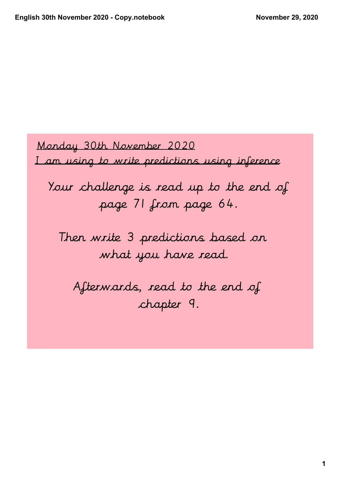Monday 30th November 2020

I am using to write predictions using inference

Your challenge is read up to the end of page 71 from page 64.

Then write 3 predictions based on what you have read.

Afterwards, read to the end of chapter 9.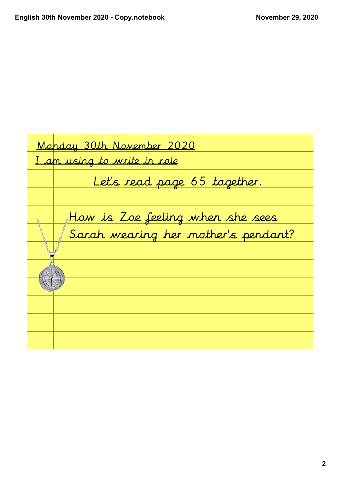|  | Monday 30th November 2020           |  |
|--|-------------------------------------|--|
|  | <u>I am using to write in role</u>  |  |
|  | Let's read page 65 together.        |  |
|  |                                     |  |
|  | How is Zoe feeling when she sees    |  |
|  | Sarah wearing her mother's pendant? |  |
|  |                                     |  |
|  |                                     |  |
|  |                                     |  |
|  |                                     |  |
|  |                                     |  |
|  |                                     |  |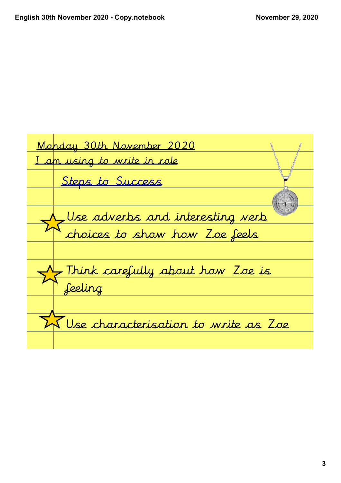Monday 30th November 2020 <u>I am using to write in role</u> <u>Use adverbs and interesting verb</u> choices to show how Zoe feels Steps to Success <u>Think carefully about how Zoe is </u> feeling  $\sqrt{\frac{1}{N}}$ Use characterisation to write as Zoe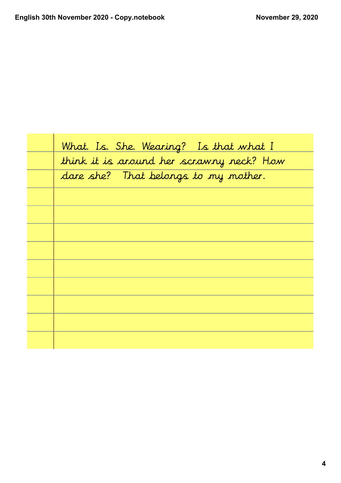| What. Is. She. Wearing? Is that what I   |
|------------------------------------------|
| think it is around her scrawny neck? How |
| dare she? That belongs to my mother.     |
|                                          |
|                                          |
|                                          |
|                                          |
|                                          |
|                                          |
|                                          |
|                                          |
|                                          |